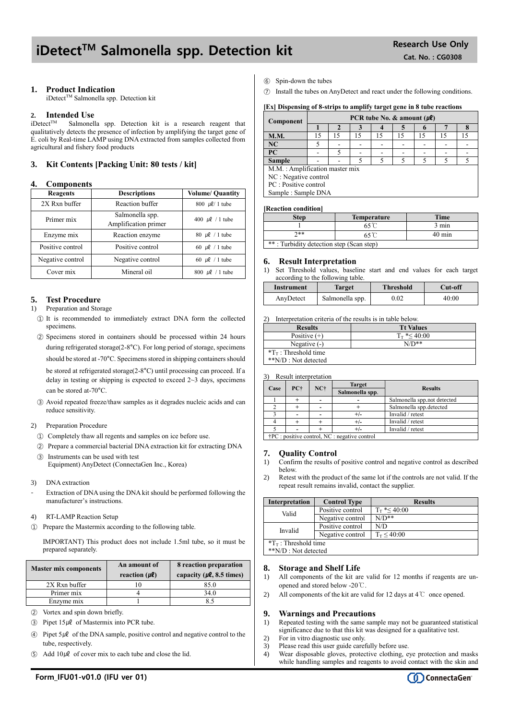## iDetect<sup>™</sup> Salmonella spp. Detection kit Research Use Only

#### **1. Product Indication**

iDetect™ Salmonella spp. Detection kit

### **2. Intended Use**

Salmonella spp. Detection kit is a research reagent that qualitatively detects the presence of infection by amplifying the target gene of E. coli by Real-time LAMP using DNA extracted from samples collected from agricultural and fishery food products

#### **3. Kit Contents [Packing Unit: 80 tests / kit]**

#### **4. Components**

| Reagents                             | <b>Descriptions</b>                     | <b>Volume/ Quantity</b>           |
|--------------------------------------|-----------------------------------------|-----------------------------------|
| 2X Rxn buffer                        | Reaction buffer                         | 800 $\mu$ l/ 1 tube               |
| Primer mix                           | Salmonella spp.<br>Amplification primer | 400 $\mu$ l / 1 tube              |
| Enzyme mix                           | Reaction enzyme                         | 80 $\mu$ l / 1 tube               |
| Positive control                     | Positive control                        | 60 $\mu$ l / 1 tube               |
| Negative control<br>Negative control |                                         | 60 $\mu$ l / 1 tube               |
| Cover mix                            | Mineral oil                             | $800 \text{ }\mu\text{}$ / 1 tube |

#### **5. Test Procedure**

#### 1) Preparation and Storage

- ① It is recommended to immediately extract DNA form the collected specimens.
- ② Specimens stored in containers should be processed within 24 hours during refrigerated storage(2-8°C). For long period of storage, specimens should be stored at -70°C. Specimens stored in shipping containers should be stored at refrigerated storage(2-8°C) until processing can proceed. If a delay in testing or shipping is expected to exceed  $2 \sim 3$  days, specimens can be stored at-70°C.
- ③ Avoid repeated freeze/thaw samples as it degrades nucleic acids and can reduce sensitivity.

#### 2) Preparation Procedure

- ① Completely thaw all regents and samples on ice before use.
- ② Prepare a commercial bacterial DNA extraction kit for extracting DNA ③ Instruments can be used with test

Equipment) AnyDetect (ConnectaGen Inc., Korea)

- 3) DNA extraction
- Extraction of DNA using the DNA kit should be performed following the manufacturer's instructions.
- 4) RT-LAMP Reaction Setup
- ① Prepare the Mastermix according to the following table.

IMPORTANT) This product does not include 1.5ml tube, so it must be prepared separately.

| <b>Master mix components</b> | An amount of<br>reaction $(\mu \ell)$ | 8 reaction preparation<br>capacity ( $\mu$ <b>l</b> , 8.5 times) |  |
|------------------------------|---------------------------------------|------------------------------------------------------------------|--|
| 2X Rxn buffer                |                                       | 85.0                                                             |  |
| Primer mix                   |                                       | 34.0                                                             |  |
| Enzyme mix                   |                                       |                                                                  |  |

- ② Vortex and spin down briefly.
- $\textcircled{3}$  Pipet 15µl of Mastermix into PCR tube.
- $\widehat{A}$  Pipet 5µl of the DNA sample, positive control and negative control to the tube, respectively.
- $\circ$  Add 10µl of cover mix to each tube and close the lid.

Spin-down the tubes

⑦ Install the tubes on AnyDetect and react under the following conditions.

#### **[Ex] Dispensing of 8-strips to amplify target gene in 8 tube reactions**

| Component                      | PCR tube No. & amount $(\mu \ell)$ |    |    |    |    |    |    |    |
|--------------------------------|------------------------------------|----|----|----|----|----|----|----|
|                                |                                    |    |    |    |    |    |    |    |
| <b>M.M.</b>                    | 15                                 | 15 | 15 | 15 | 15 | 15 | 15 | 15 |
| NC                             |                                    |    |    |    |    |    |    |    |
| PC                             |                                    |    |    |    |    |    |    |    |
| <b>Sample</b>                  |                                    |    |    |    |    |    |    |    |
| M.M.: Amplification master mix |                                    |    |    |    |    |    |    |    |
| NC : Negative control          |                                    |    |    |    |    |    |    |    |
| PC : Positive control          |                                    |    |    |    |    |    |    |    |
| Sample: Sample DNA             |                                    |    |    |    |    |    |    |    |
|                                |                                    |    |    |    |    |    |    |    |

#### **[Reaction condition]**

| <b>Step</b>                              | <b>Temperature</b> | <b>Time</b>      |  |
|------------------------------------------|--------------------|------------------|--|
|                                          |                    | $3 \text{ min}$  |  |
| ን**                                      |                    | $40 \text{ min}$ |  |
| **: Turbidity detection step (Scan step) |                    |                  |  |

#### **6. Result Interpretation**

1) Set Threshold values, baseline start and end values for each target according to the following table.

| Instrument | Target          | <b>Threshold</b> | Cut-off |
|------------|-----------------|------------------|---------|
| AnyDetect  | Salmonella spp. | 0.02             | 40:00   |

2) Interpretation criteria of the results is in table below.

| <b>Results</b>                  | <b>Tt Values</b>     |
|---------------------------------|----------------------|
| Positive $(+)$                  | $T_{\rm T}$ *< 40:00 |
| Negative $(-)$                  | $N/D**$              |
| $T_{\text{T}}$ : Threshold time |                      |
| **N/D : Not detected            |                      |

3) Result interpretation

|      |                                                               |       | <b>Target</b>   |                             |  |
|------|---------------------------------------------------------------|-------|-----------------|-----------------------------|--|
| Case | PC+                                                           | $NC+$ | Salmonella spp. | <b>Results</b>              |  |
|      |                                                               |       |                 | Salmonella spp.not detected |  |
|      |                                                               |       |                 | Salmonella spp.detected     |  |
|      |                                                               |       |                 | Invalid / retest            |  |
|      |                                                               |       |                 | Invalid / retest            |  |
|      |                                                               |       |                 | Invalid / retest            |  |
|      | $\dot{\uparrow}$ PC : positive control, NC : negative control |       |                 |                             |  |

**7. Quality Control**

- 1) Confirm the results of positive control and negative control as described below.
- 2) Retest with the product of the same lot if the controls are not valid. If the repeat result remains invalid, contact the supplier.

| <b>Interpretation</b>        | <b>Control Type</b> | <b>Results</b>        |  |  |
|------------------------------|---------------------|-----------------------|--|--|
| Valid                        | Positive control    | $T_{\rm T}$ *< 40:00  |  |  |
|                              | Negative control    | $N/D**$               |  |  |
| Invalid                      | Positive control    | N/D                   |  |  |
|                              | Negative control    | $T_{\rm T} \le 40:00$ |  |  |
| $T_{\rm T}$ : Threshold time |                     |                       |  |  |
| **N/D : Not detected         |                     |                       |  |  |

#### **8. Storage and Shelf Life**

- 1) All components of the kit are valid for 12 months if reagents are unopened and stored below -20℃.
- 2) All components of the kit are valid for 12 days at 4℃ once opened.

#### **9. Warnings and Precautions**

- 1) Repeated testing with the same sample may not be guaranteed statistical significance due to that this kit was designed for a qualitative test.
- 2) For in vitro diagnostic use only.
- 3) Please read this user guide carefully before use.<br>4) Wear disposable gloves, protective clothing, e
- Wear disposable gloves, protective clothing, eye protection and masks while handling samples and reagents to avoid contact with the skin and